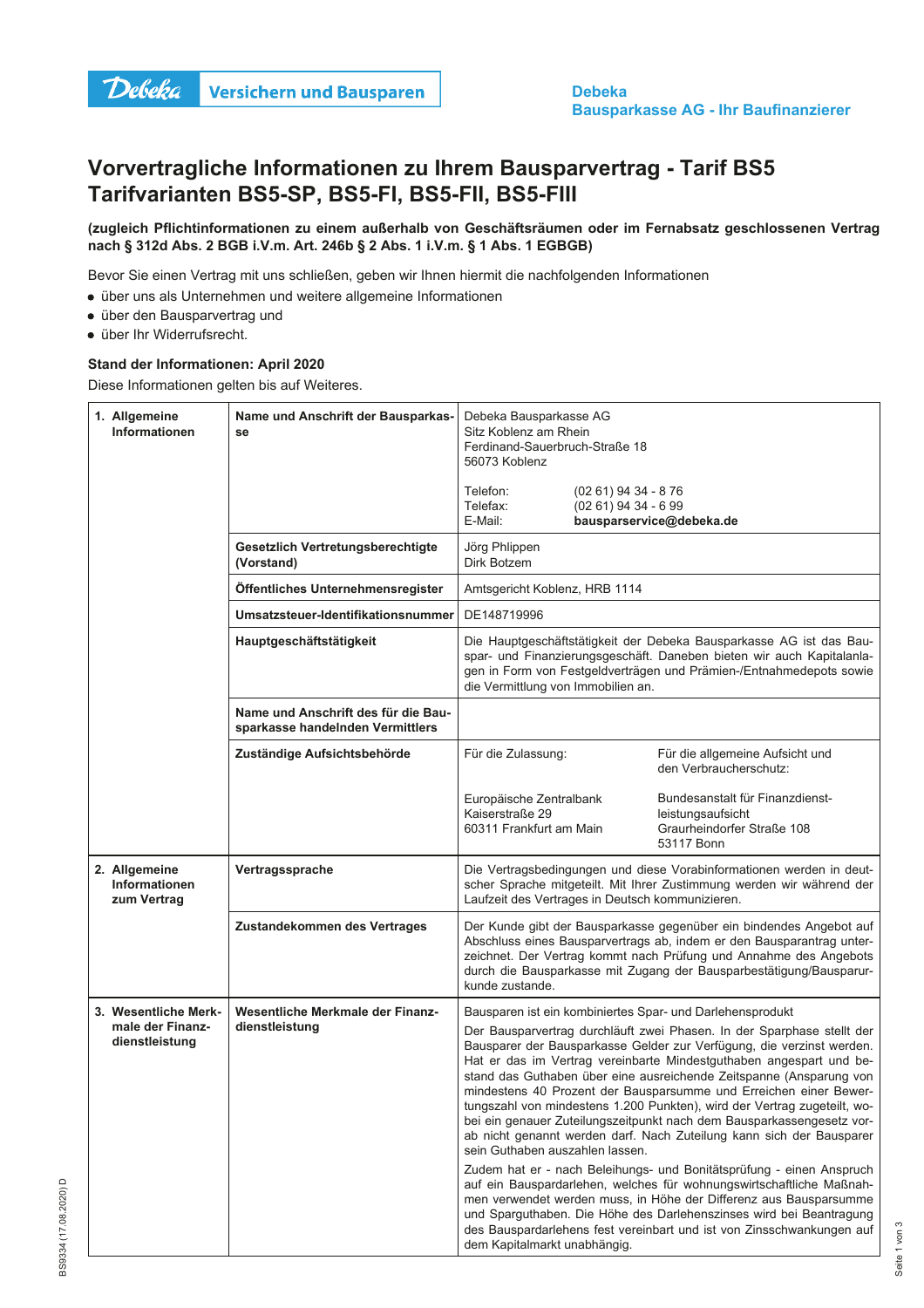

## Vorvertragliche Informationen zu Ihrem Bausparvertrag - Tarif BS5 Tarifvarianten BS5-SP, BS5-FI, BS5-FII, BS5-FIII

## (zugleich Pflichtinformationen zu einem außerhalb von Geschäftsräumen oder im Fernabsatz geschlossenen Vertrag nach § 312d Abs. 2 BGB i.V.m. Art. 246b § 2 Abs. 1 i.V.m. § 1 Abs. 1 EGBGB)

Bevor Sie einen Vertrag mit uns schließen, geben wir Ihnen hiermit die nachfolgenden Informationen

- über uns als Unternehmen und weitere allgemeine Informationen
- · über den Bausparvertrag und
- · über Ihr Widerrufsrecht.

## Stand der Informationen: April 2020

Diese Informationen gelten bis auf Weiteres.

| 1. Allgemeine<br>Informationen                       | Name und Anschrift der Bausparkas-<br>se                                | Debeka Bausparkasse AG<br>Sitz Koblenz am Rhein<br>Ferdinand-Sauerbruch-Straße 18<br>56073 Koblenz                                                                                                                                                                                                                                                                                                                                                                                                                                                                                                                                 |                                                                                                                                                                                                                                                                                                                                                                   |
|------------------------------------------------------|-------------------------------------------------------------------------|------------------------------------------------------------------------------------------------------------------------------------------------------------------------------------------------------------------------------------------------------------------------------------------------------------------------------------------------------------------------------------------------------------------------------------------------------------------------------------------------------------------------------------------------------------------------------------------------------------------------------------|-------------------------------------------------------------------------------------------------------------------------------------------------------------------------------------------------------------------------------------------------------------------------------------------------------------------------------------------------------------------|
|                                                      |                                                                         | Telefon:<br>$(0261)$ 94 34 - 876<br>Telefax:<br>$(0261)$ 94 34 - 6 99<br>E-Mail:                                                                                                                                                                                                                                                                                                                                                                                                                                                                                                                                                   | bausparservice@debeka.de                                                                                                                                                                                                                                                                                                                                          |
|                                                      | Gesetzlich Vertretungsberechtigte<br>(Vorstand)                         | Jörg Phlippen<br>Dirk Botzem                                                                                                                                                                                                                                                                                                                                                                                                                                                                                                                                                                                                       |                                                                                                                                                                                                                                                                                                                                                                   |
|                                                      | Öffentliches Unternehmensregister                                       | Amtsgericht Koblenz, HRB 1114                                                                                                                                                                                                                                                                                                                                                                                                                                                                                                                                                                                                      |                                                                                                                                                                                                                                                                                                                                                                   |
|                                                      | Umsatzsteuer-Identifikationsnummer                                      | DE148719996                                                                                                                                                                                                                                                                                                                                                                                                                                                                                                                                                                                                                        |                                                                                                                                                                                                                                                                                                                                                                   |
|                                                      | Hauptgeschäftstätigkeit                                                 | Die Hauptgeschäftstätigkeit der Debeka Bausparkasse AG ist das Bau-<br>spar- und Finanzierungsgeschäft. Daneben bieten wir auch Kapitalanla-<br>gen in Form von Festgeldverträgen und Prämien-/Entnahmedepots sowie<br>die Vermittlung von Immobilien an.                                                                                                                                                                                                                                                                                                                                                                          |                                                                                                                                                                                                                                                                                                                                                                   |
|                                                      | Name und Anschrift des für die Bau-<br>sparkasse handelnden Vermittlers |                                                                                                                                                                                                                                                                                                                                                                                                                                                                                                                                                                                                                                    |                                                                                                                                                                                                                                                                                                                                                                   |
|                                                      | Zuständige Aufsichtsbehörde                                             | Für die Zulassung:                                                                                                                                                                                                                                                                                                                                                                                                                                                                                                                                                                                                                 | Für die allgemeine Aufsicht und<br>den Verbraucherschutz:                                                                                                                                                                                                                                                                                                         |
|                                                      |                                                                         | Europäische Zentralbank<br>Kaiserstraße 29<br>60311 Frankfurt am Main                                                                                                                                                                                                                                                                                                                                                                                                                                                                                                                                                              | Bundesanstalt für Finanzdienst-<br>leistungsaufsicht<br>Graurheindorfer Straße 108<br>53117 Bonn                                                                                                                                                                                                                                                                  |
| 2. Allgemeine<br><b>Informationen</b><br>zum Vertrag | Vertragssprache                                                         | Die Vertragsbedingungen und diese Vorabinformationen werden in deut-<br>scher Sprache mitgeteilt. Mit Ihrer Zustimmung werden wir während der<br>Laufzeit des Vertrages in Deutsch kommunizieren.                                                                                                                                                                                                                                                                                                                                                                                                                                  |                                                                                                                                                                                                                                                                                                                                                                   |
|                                                      | Zustandekommen des Vertrages                                            | kunde zustande.                                                                                                                                                                                                                                                                                                                                                                                                                                                                                                                                                                                                                    | Der Kunde gibt der Bausparkasse gegenüber ein bindendes Angebot auf<br>Abschluss eines Bausparvertrags ab, indem er den Bausparantrag unter-<br>zeichnet. Der Vertrag kommt nach Prüfung und Annahme des Angebots<br>durch die Bausparkasse mit Zugang der Bausparbestätigung/Bausparur-                                                                          |
| 3. Wesentliche Merk-                                 | Wesentliche Merkmale der Finanz-                                        | Bausparen ist ein kombiniertes Spar- und Darlehensprodukt                                                                                                                                                                                                                                                                                                                                                                                                                                                                                                                                                                          |                                                                                                                                                                                                                                                                                                                                                                   |
| male der Finanz-<br>dienstleistung                   | dienstleistung                                                          | Der Bausparvertrag durchläuft zwei Phasen. In der Sparphase stellt der<br>Bausparer der Bausparkasse Gelder zur Verfügung, die verzinst werden.<br>Hat er das im Vertrag vereinbarte Mindestguthaben angespart und be-<br>stand das Guthaben über eine ausreichende Zeitspanne (Ansparung von<br>mindestens 40 Prozent der Bausparsumme und Erreichen einer Bewer-<br>tungszahl von mindestens 1.200 Punkten), wird der Vertrag zugeteilt, wo-<br>bei ein genauer Zuteilungszeitpunkt nach dem Bausparkassengesetz vor-<br>ab nicht genannt werden darf. Nach Zuteilung kann sich der Bausparer<br>sein Guthaben auszahlen lassen. |                                                                                                                                                                                                                                                                                                                                                                   |
|                                                      |                                                                         | dem Kapitalmarkt unabhängig.                                                                                                                                                                                                                                                                                                                                                                                                                                                                                                                                                                                                       | Zudem hat er - nach Beleihungs- und Bonitätsprüfung - einen Anspruch<br>auf ein Bauspardarlehen, welches für wohnungswirtschaftliche Maßnah-<br>men verwendet werden muss, in Höhe der Differenz aus Bausparsumme<br>und Sparguthaben. Die Höhe des Darlehenszinses wird bei Beantragung<br>des Bauspardarlehens fest vereinbart und ist von Zinsschwankungen auf |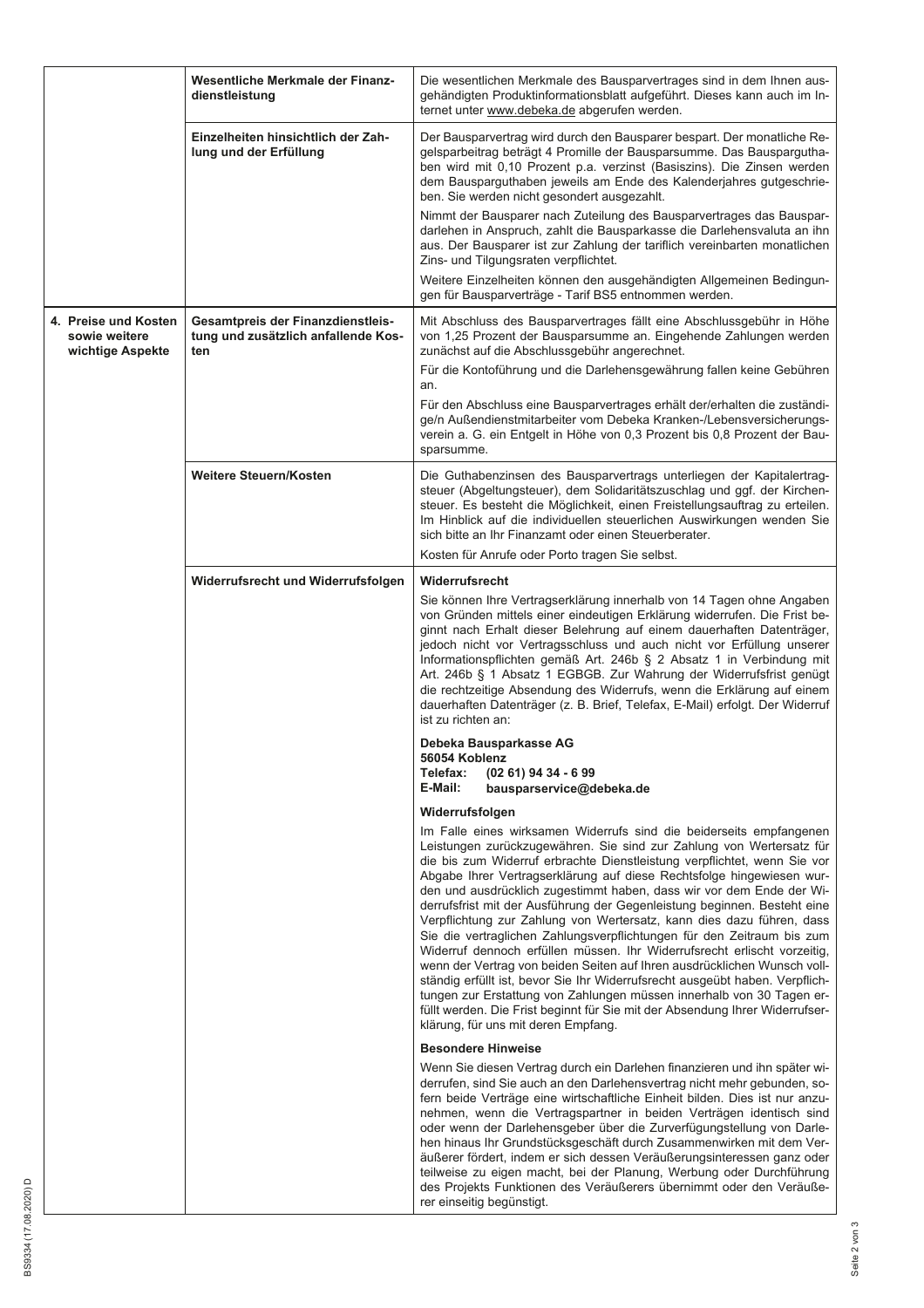|                                                           | Wesentliche Merkmale der Finanz-<br>dienstleistung                              | Die wesentlichen Merkmale des Bausparvertrages sind in dem Ihnen aus-<br>gehändigten Produktinformationsblatt aufgeführt. Dieses kann auch im In-                                                                                                                                                                                                                                                                                                                                                                                                                                                                                                                                                                                                                                                                                                                                                                                                                                                                                               |
|-----------------------------------------------------------|---------------------------------------------------------------------------------|-------------------------------------------------------------------------------------------------------------------------------------------------------------------------------------------------------------------------------------------------------------------------------------------------------------------------------------------------------------------------------------------------------------------------------------------------------------------------------------------------------------------------------------------------------------------------------------------------------------------------------------------------------------------------------------------------------------------------------------------------------------------------------------------------------------------------------------------------------------------------------------------------------------------------------------------------------------------------------------------------------------------------------------------------|
|                                                           | Einzelheiten hinsichtlich der Zah-<br>lung und der Erfüllung                    | ternet unter www.debeka.de abgerufen werden.<br>Der Bausparvertrag wird durch den Bausparer bespart. Der monatliche Re-<br>gelsparbeitrag beträgt 4 Promille der Bausparsumme. Das Bauspargutha-<br>ben wird mit 0,10 Prozent p.a. verzinst (Basiszins). Die Zinsen werden<br>dem Bausparguthaben jeweils am Ende des Kalenderjahres gutgeschrie-<br>ben. Sie werden nicht gesondert ausgezahlt.<br>Nimmt der Bausparer nach Zuteilung des Bausparvertrages das Bauspar-                                                                                                                                                                                                                                                                                                                                                                                                                                                                                                                                                                        |
|                                                           |                                                                                 | darlehen in Anspruch, zahlt die Bausparkasse die Darlehensvaluta an ihn<br>aus. Der Bausparer ist zur Zahlung der tariflich vereinbarten monatlichen<br>Zins- und Tilgungsraten verpflichtet.                                                                                                                                                                                                                                                                                                                                                                                                                                                                                                                                                                                                                                                                                                                                                                                                                                                   |
|                                                           |                                                                                 | Weitere Einzelheiten können den ausgehändigten Allgemeinen Bedingun-<br>gen für Bausparverträge - Tarif BS5 entnommen werden.                                                                                                                                                                                                                                                                                                                                                                                                                                                                                                                                                                                                                                                                                                                                                                                                                                                                                                                   |
| 4. Preise und Kosten<br>sowie weitere<br>wichtige Aspekte | Gesamtpreis der Finanzdienstleis-<br>tung und zusätzlich anfallende Kos-<br>ten | Mit Abschluss des Bausparvertrages fällt eine Abschlussgebühr in Höhe<br>von 1,25 Prozent der Bausparsumme an. Eingehende Zahlungen werden<br>zunächst auf die Abschlussgebühr angerechnet.                                                                                                                                                                                                                                                                                                                                                                                                                                                                                                                                                                                                                                                                                                                                                                                                                                                     |
|                                                           |                                                                                 | Für die Kontoführung und die Darlehensgewährung fallen keine Gebühren<br>an.                                                                                                                                                                                                                                                                                                                                                                                                                                                                                                                                                                                                                                                                                                                                                                                                                                                                                                                                                                    |
|                                                           |                                                                                 | Für den Abschluss eine Bausparvertrages erhält der/erhalten die zuständi-<br>ge/n Außendienstmitarbeiter vom Debeka Kranken-/Lebensversicherungs-<br>verein a. G. ein Entgelt in Höhe von 0,3 Prozent bis 0,8 Prozent der Bau-<br>sparsumme.                                                                                                                                                                                                                                                                                                                                                                                                                                                                                                                                                                                                                                                                                                                                                                                                    |
|                                                           | <b>Weitere Steuern/Kosten</b>                                                   | Die Guthabenzinsen des Bausparvertrags unterliegen der Kapitalertrag-<br>steuer (Abgeltungsteuer), dem Solidaritätszuschlag und ggf. der Kirchen-<br>steuer. Es besteht die Möglichkeit, einen Freistellungsauftrag zu erteilen.<br>Im Hinblick auf die individuellen steuerlichen Auswirkungen wenden Sie<br>sich bitte an Ihr Finanzamt oder einen Steuerberater.<br>Kosten für Anrufe oder Porto tragen Sie selbst.                                                                                                                                                                                                                                                                                                                                                                                                                                                                                                                                                                                                                          |
|                                                           | Widerrufsrecht und Widerrufsfolgen                                              | Widerrufsrecht                                                                                                                                                                                                                                                                                                                                                                                                                                                                                                                                                                                                                                                                                                                                                                                                                                                                                                                                                                                                                                  |
|                                                           |                                                                                 | Sie können Ihre Vertragserklärung innerhalb von 14 Tagen ohne Angaben<br>von Gründen mittels einer eindeutigen Erklärung widerrufen. Die Frist be-<br>ginnt nach Erhalt dieser Belehrung auf einem dauerhaften Datenträger,<br>jedoch nicht vor Vertragsschluss und auch nicht vor Erfüllung unserer<br>Informationspflichten gemäß Art. 246b § 2 Absatz 1 in Verbindung mit<br>Art. 246b § 1 Absatz 1 EGBGB. Zur Wahrung der Widerrufsfrist genügt<br>die rechtzeitige Absendung des Widerrufs, wenn die Erklärung auf einem<br>dauerhaften Datenträger (z. B. Brief, Telefax, E-Mail) erfolgt. Der Widerruf<br>ist zu richten an:                                                                                                                                                                                                                                                                                                                                                                                                             |
|                                                           |                                                                                 | Debeka Bausparkasse AG                                                                                                                                                                                                                                                                                                                                                                                                                                                                                                                                                                                                                                                                                                                                                                                                                                                                                                                                                                                                                          |
|                                                           |                                                                                 | 56054 Koblenz<br>Telefax:<br>$(0261)$ 94 34 - 6 99<br>E-Mail:<br>bausparservice@debeka.de                                                                                                                                                                                                                                                                                                                                                                                                                                                                                                                                                                                                                                                                                                                                                                                                                                                                                                                                                       |
|                                                           |                                                                                 | Widerrufsfolgen                                                                                                                                                                                                                                                                                                                                                                                                                                                                                                                                                                                                                                                                                                                                                                                                                                                                                                                                                                                                                                 |
|                                                           |                                                                                 | Im Falle eines wirksamen Widerrufs sind die beiderseits empfangenen<br>Leistungen zurückzugewähren. Sie sind zur Zahlung von Wertersatz für<br>die bis zum Widerruf erbrachte Dienstleistung verpflichtet, wenn Sie vor<br>Abgabe Ihrer Vertragserklärung auf diese Rechtsfolge hingewiesen wur-<br>den und ausdrücklich zugestimmt haben, dass wir vor dem Ende der Wi-<br>derrufsfrist mit der Ausführung der Gegenleistung beginnen. Besteht eine<br>Verpflichtung zur Zahlung von Wertersatz, kann dies dazu führen, dass<br>Sie die vertraglichen Zahlungsverpflichtungen für den Zeitraum bis zum<br>Widerruf dennoch erfüllen müssen. Ihr Widerrufsrecht erlischt vorzeitig,<br>wenn der Vertrag von beiden Seiten auf Ihren ausdrücklichen Wunsch voll-<br>ständig erfüllt ist, bevor Sie Ihr Widerrufsrecht ausgeübt haben. Verpflich-<br>tungen zur Erstattung von Zahlungen müssen innerhalb von 30 Tagen er-<br>füllt werden. Die Frist beginnt für Sie mit der Absendung Ihrer Widerrufser-<br>klärung, für uns mit deren Empfang. |
|                                                           |                                                                                 | <b>Besondere Hinweise</b><br>Wenn Sie diesen Vertrag durch ein Darlehen finanzieren und ihn später wi-                                                                                                                                                                                                                                                                                                                                                                                                                                                                                                                                                                                                                                                                                                                                                                                                                                                                                                                                          |
|                                                           |                                                                                 | derrufen, sind Sie auch an den Darlehensvertrag nicht mehr gebunden, so-<br>fern beide Verträge eine wirtschaftliche Einheit bilden. Dies ist nur anzu-<br>nehmen, wenn die Vertragspartner in beiden Verträgen identisch sind<br>oder wenn der Darlehensgeber über die Zurverfügungstellung von Darle-<br>hen hinaus Ihr Grundstücksgeschäft durch Zusammenwirken mit dem Ver-<br>äußerer fördert, indem er sich dessen Veräußerungsinteressen ganz oder<br>teilweise zu eigen macht, bei der Planung, Werbung oder Durchführung<br>des Projekts Funktionen des Veräußerers übernimmt oder den Veräuße-<br>rer einseitig begünstigt.                                                                                                                                                                                                                                                                                                                                                                                                           |